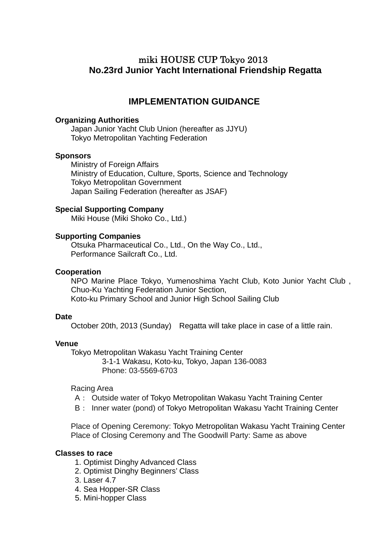# miki HOUSE CUP Tokyo 2013  **No.23rd Junior Yacht International Friendship Regatta**

## **IMPLEMENTATION GUIDANCE**

#### **Organizing Authorities**

Japan Junior Yacht Club Union (hereafter as JJYU) Tokyo Metropolitan Yachting Federation

#### **Sponsors**

 Ministry of Foreign Affairs Ministry of Education, Culture, Sports, Science and Technology Tokyo Metropolitan Government Japan Sailing Federation (hereafter as JSAF)

#### **Special Supporting Company**

Miki House (Miki Shoko Co., Ltd.)

#### **Supporting Companies**

Otsuka Pharmaceutical Co., Ltd., On the Way Co., Ltd., Performance Sailcraft Co., Ltd.

#### **Cooperation**

NPO Marine Place Tokyo, Yumenoshima Yacht Club, Koto Junior Yacht Club , Chuo-Ku Yachting Federation Junior Section, Koto-ku Primary School and Junior High School Sailing Club

#### **Date**

October 20th, 2013 (Sunday) Regatta will take place in case of a little rain.

#### **Venue**

 Tokyo Metropolitan Wakasu Yacht Training Center 3-1-1 Wakasu, Koto-ku, Tokyo, Japan 136-0083 Phone: 03-5569-6703

#### Racing Area

- A: Outside water of Tokyo Metropolitan Wakasu Yacht Training Center
- B: Inner water (pond) of Tokyo Metropolitan Wakasu Yacht Training Center

 Place of Opening Ceremony: Tokyo Metropolitan Wakasu Yacht Training Center Place of Closing Ceremony and The Goodwill Party: Same as above

#### **Classes to race**

- 1. Optimist Dinghy Advanced Class
- 2. Optimist Dinghy Beginners' Class
- 3. Laser 4.7
- 4. Sea Hopper-SR Class
- 5. Mini-hopper Class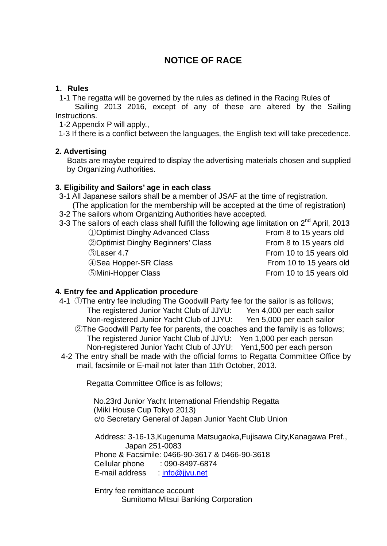# **NOTICE OF RACE**

## **1**.**Rules**

1-1 The regatta will be governed by the rules as defined in the Racing Rules of

Sailing 2013 2016, except of any of these are altered by the Sailing Instructions.

1-2 Appendix P will apply.,

1-3 If there is a conflict between the languages, the English text will take precedence.

#### **2. Advertising**

Boats are maybe required to display the advertising materials chosen and supplied by Organizing Authorities.

#### **3. Eligibility and Sailors' age in each class**

- 3-1 All Japanese sailors shall be a member of JSAF at the time of registration. (The application for the membership will be accepted at the time of registration)
- 3-2 The sailors whom Organizing Authorities have accepted.
- 3-3 The sailors of each class shall fulfill the following age limitation on 2<sup>nd</sup> April, 2013

①Optimist Dinghy Advanced Class From 8 to 15 years old **20 Optimist Dinghy Beginners' Class From 8 to 15 years old From 8 to 15 years old** ③Laser 4.7 From 10 to 15 years old 4 Gea Hopper-SR Class From 10 to 15 years old ⑤Mini-Hopper Class From 10 to 15 years old

#### **4. Entry fee and Application procedure**

- 4-1 ①The entry fee including The Goodwill Party fee for the sailor is as follows; The registered Junior Yacht Club of JJYU: Yen 4,000 per each sailor Non-registered Junior Yacht Club of JJYU: Yen 5,000 per each sailor
	- ②The Goodwill Party fee for parents, the coaches and the family is as follows; The registered Junior Yacht Club of JJYU: Yen 1,000 per each person Non-registered Junior Yacht Club of JJYU: Yen1,500 per each person
- 4-2 The entry shall be made with the official forms to Regatta Committee Office by mail, facsimile or E-mail not later than 11th October, 2013.

Regatta Committee Office is as follows;

No.23rd Junior Yacht International Friendship Regatta (Miki House Cup Tokyo 2013) c/o Secretary General of Japan Junior Yacht Club Union

Address: 3-16-13,Kugenuma Matsugaoka,Fujisawa City,Kanagawa Pref., Japan 251-0083 Phone & Facsimile: 0466-90-3617 & 0466-90-3618 Cellular phone : 090-8497-6874 E-mail address : [info@jjyu.net](mailto:info@jjyu.net)

**Entry fee remittance account** Sumitomo Mitsui Banking Corporation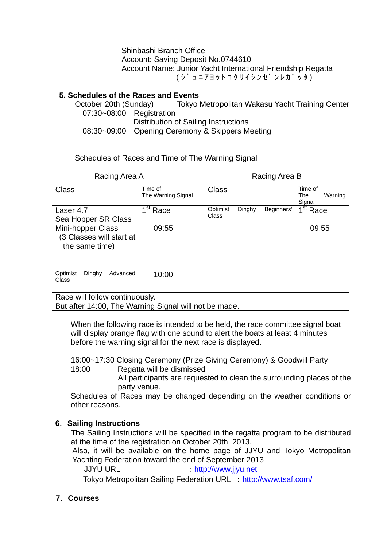Shinbashi Branch Office Account: Saving Deposit No.0744610 Account Name: Junior Yacht International Friendship Regatta ( シ ュ ニアヨットコクサイシンセ ンレカ ッタ)

## **5. Schedules of the Races and Events**

 October 20th (Sunday) Tokyo Metropolitan Wakasu Yacht Training Center 07:30~08:00 Registration Distribution of Sailing Instructions 08:30~09:00 Opening Ceremony & Skippers Meeting

Schedules of Races and Time of The Warning Signal

| Racing Area A                                                                           |                                     | Racing Area B     |        |            |                                     |
|-----------------------------------------------------------------------------------------|-------------------------------------|-------------------|--------|------------|-------------------------------------|
| <b>Class</b>                                                                            | Time of<br>The Warning Signal       | <b>Class</b>      |        |            | Time of<br>Warning<br>The<br>Signal |
| Laser 4.7<br>Sea Hopper SR Class                                                        | $\overline{1}^{\overline{st}}$ Race | Optimist<br>Class | Dinghy | Beginners' | $1st$ Race                          |
| Mini-hopper Class<br>(3 Classes will start at<br>the same time)                         | 09:55                               |                   |        |            | 09:55                               |
| Optimist<br>Dinghy<br>Advanced<br>Class                                                 | 10:00                               |                   |        |            |                                     |
| Race will follow continuously.<br>But after 14:00, The Warning Signal will not be made. |                                     |                   |        |            |                                     |

When the following race is intended to be held, the race committee signal boat will display orange flag with one sound to alert the boats at least 4 minutes before the warning signal for the next race is displayed.

16:00~17:30 Closing Ceremony (Prize Giving Ceremony) & Goodwill Party

18:00 Regatta will be dismissed

All participants are requested to clean the surrounding places of the party venue.

Schedules of Races may be changed depending on the weather conditions or other reasons.

## **6**.**Sailing Instructions**

The Sailing Instructions will be specified in the regatta program to be distributed at the time of the registration on October 20th, 2013.

Also, it will be available on the home page of JJYU and Tokyo Metropolitan Yachting Federation toward the end of September 2013

JJYU URL : [http://www.jjyu.net](http://www.jjyu.net/)

Tokyo Metropolitan Sailing Federation URL : <http://www.tsaf.com/>

## **7**.**Courses**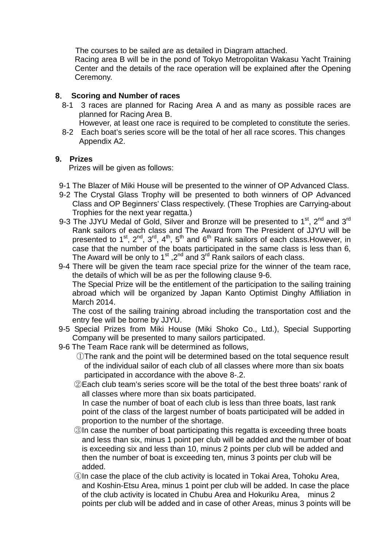The courses to be sailed are as detailed in Diagram attached.

 Racing area B will be in the pond of Tokyo Metropolitan Wakasu Yacht Training Center and the details of the race operation will be explained after the Opening Ceremony.

## **8**. **Scoring and Number of races**

- 8-1 3 races are planned for Racing Area A and as many as possible races are planned for Racing Area B.
	- However, at least one race is required to be completed to constitute the series.
- 8-2 Each boat's series score will be the total of her all race scores. This changes Appendix A2.

## **9. Prizes**

Prizes will be given as follows:

- 9-1 The Blazer of Miki House will be presented to the winner of OP Advanced Class.
- 9-2 The Crystal Glass Trophy will be presented to both winners of OP Advanced Class and OP Beginners' Class respectively. (These Trophies are Carrying-about Trophies for the next year regatta.)
- 9-3 The JJYU Medal of Gold, Silver and Bronze will be presented to  $1<sup>st</sup>$ ,  $2<sup>nd</sup>$  and  $3<sup>rd</sup>$ Rank sailors of each class and The Award from The President of JJYU will be presented to 1<sup>st</sup>, 2<sup>nd</sup>, 3<sup>rd</sup>, 4<sup>th</sup>, 5<sup>th</sup> and 6<sup>th</sup> Rank sailors of each class. However, in case that the number of the boats participated in the same class is less than 6, The Award will be only to  $1<sup>st</sup>$ ,  $2<sup>nd</sup>$  and  $3<sup>rd</sup>$  Rank sailors of each class.
- 9-4 There will be given the team race special prize for the winner of the team race, the details of which will be as per the following clause 9-6.

The Special Prize will be the entitlement of the participation to the sailing training abroad which will be organized by Japan Kanto Optimist Dinghy Affiliation in March 2014.

The cost of the sailing training abroad including the transportation cost and the entry fee will be borne by JJYU.

- 9-5 Special Prizes from Miki House (Miki Shoko Co., Ltd.), Special Supporting Company will be presented to many sailors participated.
- 9-6 The Team Race rank will be determined as follows,
	- ①The rank and the point will be determined based on the total sequence result of the individual sailor of each club of all classes where more than six boats participated in accordance with the above 8-.2.
	- ②Each club team's series score will be the total of the best three boats' rank of all classes where more than six boats participated. In case the number of boat of each club is less than three boats, last rank

point of the class of the largest number of boats participated will be added in proportion to the number of the shortage.

- ③In case the number of boat participating this regatta is exceeding three boats and less than six, minus 1 point per club will be added and the number of boat is exceeding six and less than 10, minus 2 points per club will be added and then the number of boat is exceeding ten, minus 3 points per club will be added.
- ④In case the place of the club activity is located in Tokai Area, Tohoku Area, and Koshin-Etsu Area, minus 1 point per club will be added. In case the place of the club activity is located in Chubu Area and Hokuriku Area, minus 2 points per club will be added and in case of other Areas, minus 3 points will be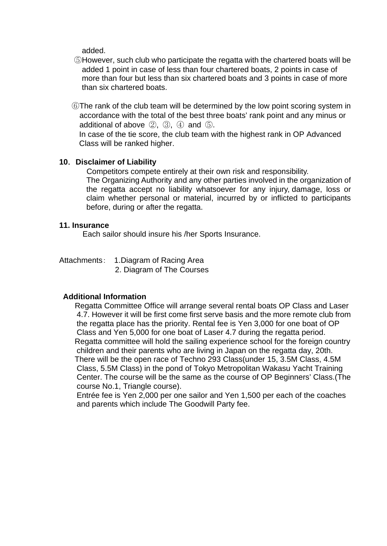added.

- ⑤However, such club who participate the regatta with the chartered boats will be added 1 point in case of less than four chartered boats, 2 points in case of more than four but less than six chartered boats and 3 points in case of more than six chartered boats.
- ⑥The rank of the club team will be determined by the low point scoring system in accordance with the total of the best three boats' rank point and any minus or additional of above  $(2)$ ,  $(3)$ ,  $(4)$  and  $(5)$ .

In case of the tie score, the club team with the highest rank in OP Advanced Class will be ranked higher.

#### **10**.**Disclaimer of Liability**

Competitors compete entirely at their own risk and responsibility.

The Organizing Authority and any other parties involved in the organization of the regatta accept no liability whatsoever for any injury, damage, loss or claim whether personal or material, incurred by or inflicted to participants before, during or after the regatta.

#### **11. Insurance**

Each sailor should insure his /her Sports Insurance.

Attachments: 1.Diagram of Racing Area

2. Diagram of The Courses

#### **Additional Information**

Regatta Committee Office will arrange several rental boats OP Class and Laser 4.7. However it will be first come first serve basis and the more remote club from the regatta place has the priority. Rental fee is Yen 3,000 for one boat of OP Class and Yen 5,000 for one boat of Laser 4.7 during the regatta period. Regatta committee will hold the sailing experience school for the foreign country children and their parents who are living in Japan on the regatta day, 20th. There will be the open race of Techno 293 Class(under 15, 3.5M Class, 4.5M Class, 5.5M Class) in the pond of Tokyo Metropolitan Wakasu Yacht Training Center. The course will be the same as the course of OP Beginners' Class.(The course No.1, Triangle course).

 Entrée fee is Yen 2,000 per one sailor and Yen 1,500 per each of the coaches and parents which include The Goodwill Party fee.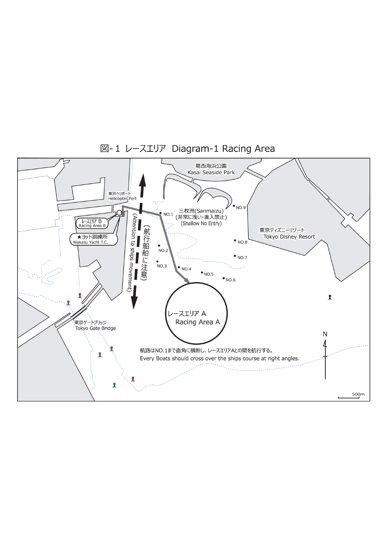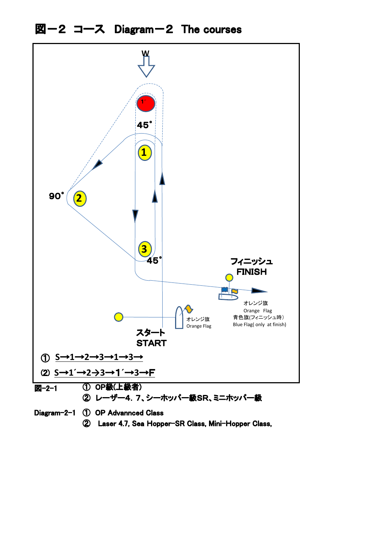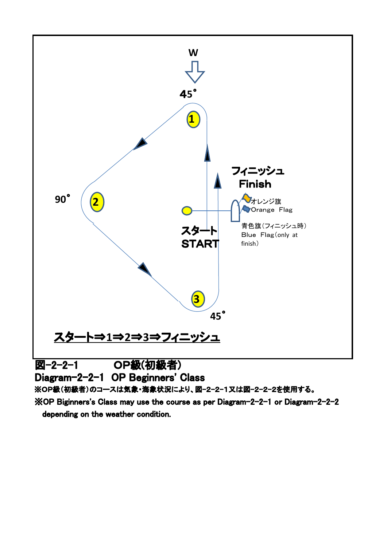

※OP Biginners's Class may use the course as per Diagram-2-2-1 or Diagram-2-2-2 depending on the weather condition.